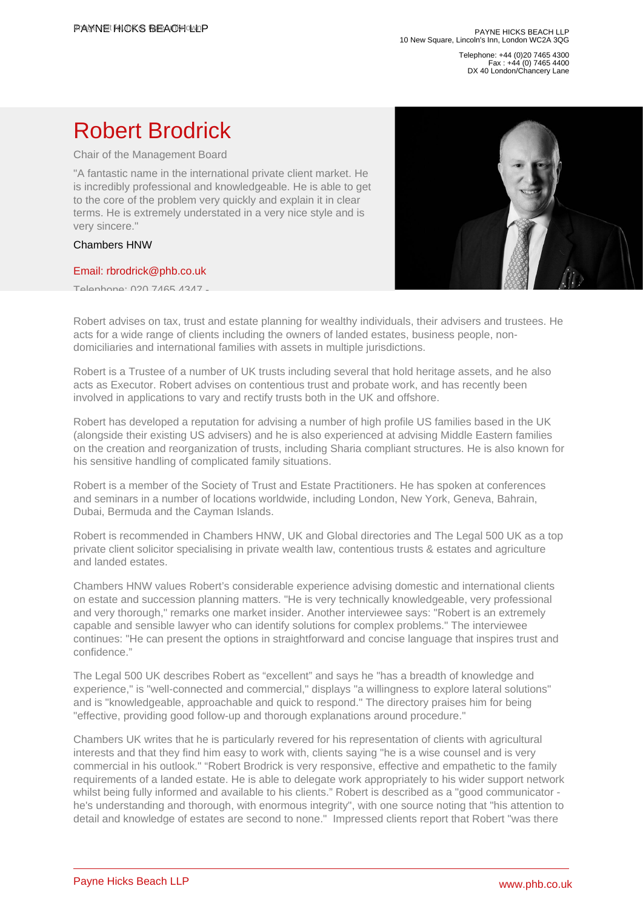Telephone: +44 (0)20 7465 4300 Fax : +44 (0) 7465 4400 DX 40 London/Chancery Lane

## Robert Brodrick

Chair of the Management Board

"A fantastic name in the international private client market. He is incredibly professional and knowledgeable. He is able to get to the core of the problem very quickly and explain it in clear terms. He is extremely understated in a very nice style and is very sincere."

## Chambers HNW

## [Email: rbrodrick@phb.co.uk](�� m a i l t o : r b r o d r i c k @ p h b . c o . u k)

Telephone: 020 7465 4347 -

Robert advises on tax, trust and estate planning for wealthy individuals, their advisers and trustees. He acts for a wide range of clients including the owners of landed estates, business people, nondomiciliaries and international families with assets in multiple jurisdictions.

Robert is a Trustee of a number of UK trusts including several that hold heritage assets, and he also acts as Executor. Robert advises on contentious trust and probate work, and has recently been involved in applications to vary and rectify trusts both in the UK and offshore.

Robert has developed a reputation for advising a number of high profile US families based in the UK (alongside their existing US advisers) and he is also experienced at advising Middle Eastern families on the creation and reorganization of trusts, including Sharia compliant structures. He is also known for his sensitive handling of complicated family situations.

Robert is a member of the Society of Trust and Estate Practitioners. He has spoken at conferences and seminars in a number of locations worldwide, including London, New York, Geneva, Bahrain, Dubai, Bermuda and the Cayman Islands.

Robert is recommended in Chambers HNW, UK and Global directories and The Legal 500 UK as a top private client solicitor specialising in private wealth law, contentious trusts & estates and agriculture and landed estates.

Chambers HNW values Robert's considerable experience advising domestic and international clients on estate and succession planning matters. "He is very technically knowledgeable, very professional and very thorough," remarks one market insider. Another interviewee says: "Robert is an extremely capable and sensible lawyer who can identify solutions for complex problems." The interviewee continues: "He can present the options in straightforward and concise language that inspires trust and confidence."

The Legal 500 UK describes Robert as "excellent" and says he "has a breadth of knowledge and experience," is "well-connected and commercial," displays "a willingness to explore lateral solutions" and is "knowledgeable, approachable and quick to respond." The directory praises him for being "effective, providing good follow-up and thorough explanations around procedure."

Chambers UK writes that he is particularly revered for his representation of clients with agricultural interests and that they find him easy to work with, clients saying "he is a wise counsel and is very commercial in his outlook." "Robert Brodrick is very responsive, effective and empathetic to the family requirements of a landed estate. He is able to delegate work appropriately to his wider support network whilst being fully informed and available to his clients." Robert is described as a "good communicator he's understanding and thorough, with enormous integrity", with one source noting that "his attention to detail and knowledge of estates are second to none." Impressed clients report that Robert "was there